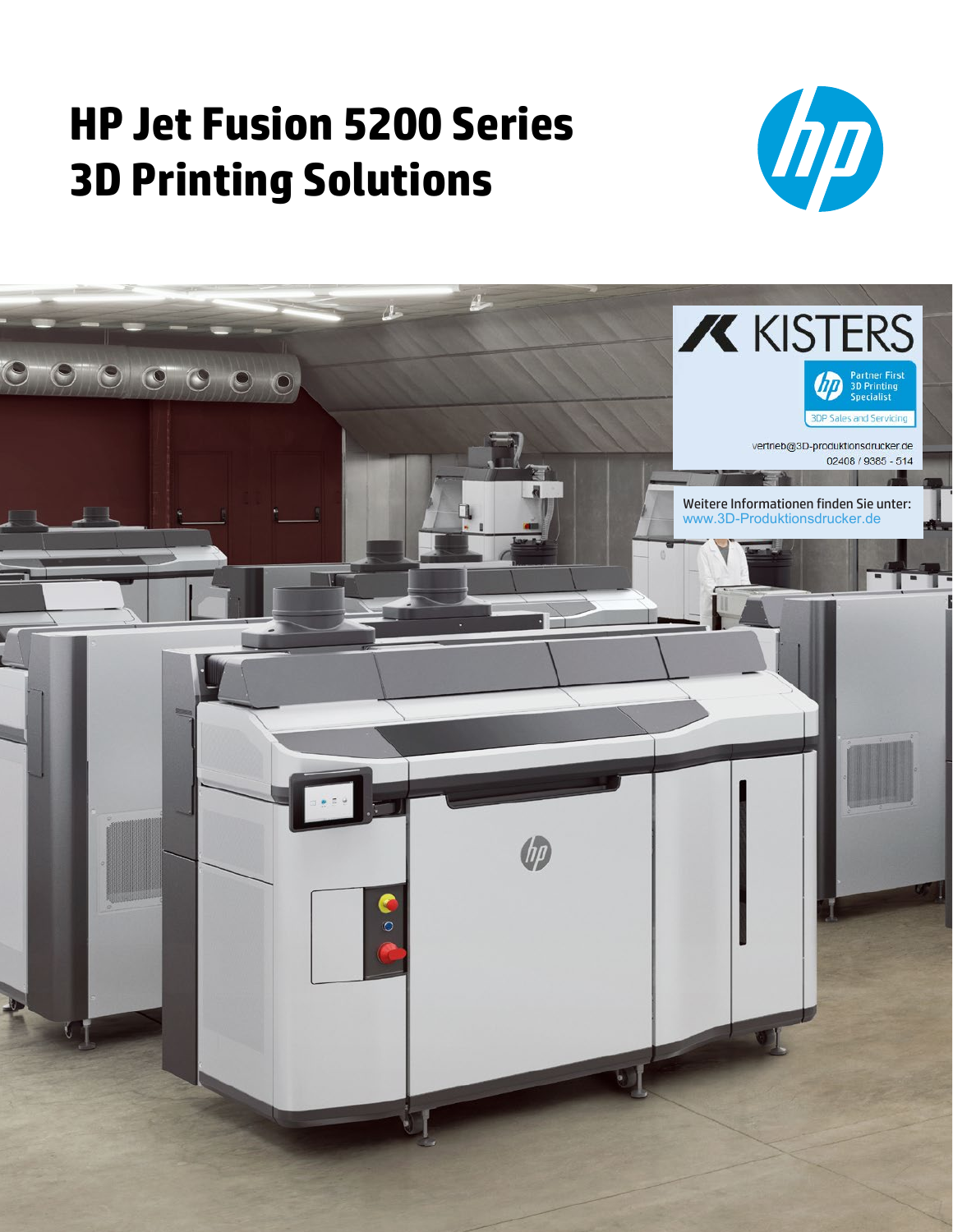# **HP Jet Fusion 5200 Series 3D Printing Solutions**



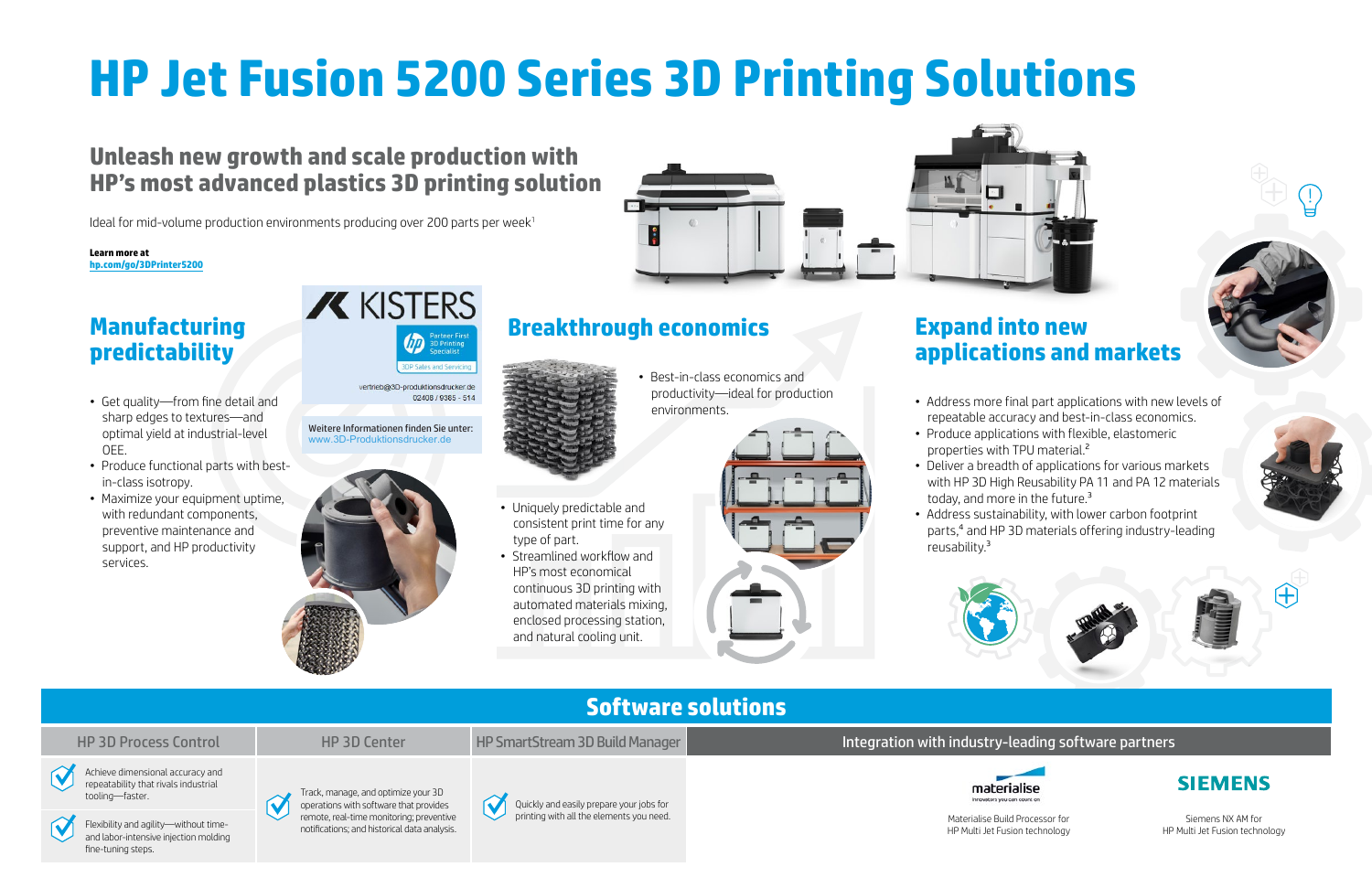# **HP Jet Fusion 5200 Series 3D Printing Solutions**

# **Manufacturing predictability**

- Get quality—from fine detail and sharp edges to textures—and optimal yield at industrial-level OEE.
- Produce functional parts with bestin-class isotropy.
- Maximize your equipment uptime, with redundant components, preventive maintenance and support, and HP productivity services.

# **X KISTERS**  $\sqrt{D}$

vertrieb@3D-produktionsdrucker.de 02408 / 9385 - 514

# **Expand into new**

# **applications and markets**

- 
- properties with TPU material.<sup>2</sup>
- 
- reusability.3



- Address more final part applications with new levels of repeatable accuracy and best-in-class economics. • Produce applications with flexible, elastomeric
	-
- Deliver a breadth of applications for various markets with HP 3D High Reusability PA 11 and PA 12 materials today, and more in the future.<sup>3</sup>
- Address sustainability, with lower carbon footprint parts,4 and HP 3D materials offering industry-leading







# **Unleash new growth and scale production with HP's most advanced plastics 3D printing solution**

Ideal for mid-volume production environments producing over 200 parts per week<sup>1</sup>

printing with all the elements you need.<br>Flexibility and agility—without time-<br>potifications: and bistorical data analysis and labor-intensive injection molding fine-tuning steps.

## HP 3D Process Control HP 3D Center HP SmartStream 3D Build Manager **Integration with industry-leading software partners**

• Uniquely predictable and

consistent print time for any

type of part.

• Streamlined workflow and HP's most economical

continuous 3D printing with automated materials mixing, enclosed processing station, and natural cooling unit.





• Best-in-class economics and productivity—ideal for production environments.



## **Software solutions**









Quickly and easily prepare your jobs for





Materialise Build Processor for HP Multi Jet Fusion technology

Siemens NX AM for HP Multi Jet Fusion technology

#### **Learn more at [hp.com/go/3DPrinter5200](http://hp.com/go/3DPrinter5200)**

Weitere Informationen finden Sie unter: www.3D-Produktionsdrucker.de

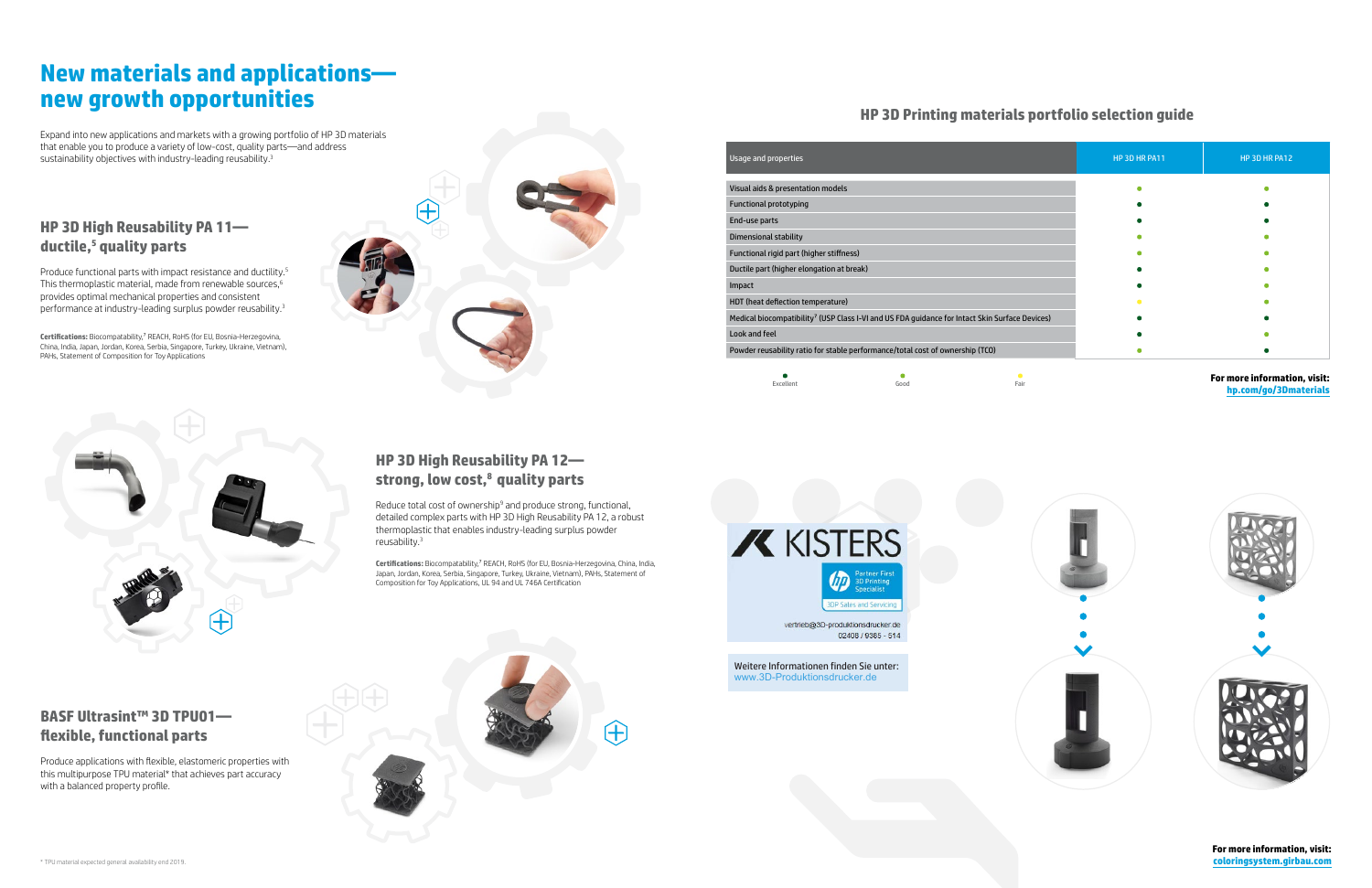## **HP 3D High Reusability PA 11 ductile,5 quality parts**

Produce functional parts with impact resistance and ductility.<sup>5</sup> This thermoplastic material, made from renewable sources, $^{\rm 6}$ provides optimal mechanical properties and consistent performance at industry-leading surplus powder reusability.<sup>3</sup>

**Certifications:** Biocompatability,7 REACH, RoHS (for EU, Bosnia-Herzegovina, China, India, Japan, Jordan, Korea, Serbia, Singapore, Turkey, Ukraine, Vietnam), PAHs, Statement of Composition for Toy Applications





Reduce total cost of ownership<sup>9</sup> and produce strong, functional, detailed complex parts with HP 3D High Reusability PA 12, a robust thermoplastic that enables industry-leading surplus powder reusability.<sup>3</sup>

# **New materials and applications new growth opportunities**

Expand into new applications and markets with a growing portfolio of HP 3D materials that enable you to produce a variety of low-cost, quality parts—and address sustainability objectives with industry-leading reusability.<sup>3</sup>

> **For more information, visit: [coloringsystem.girbau.com](http://www.coloringsystem.girbau.com)**

### **HP 3D High Reusability PA 12 strong, low cost,8 quality parts**

#### **For more information, visit: [hp.com/go/3Dmaterials](http://www.hp.com/go/3Dmaterials)**



**Certifications:** Biocompatability,7 REACH, RoHS (for EU, Bosnia-Herzegovina, China, India, Japan, Jordan, Korea, Serbia, Singapore, Turkey, Ukraine, Vietnam), PAHs, Statement of Composition for Toy Applications, UL 94 and UL 746A Certification

## **BASF Ultrasint™ 3D TPU01 flexible, functional parts**

Produce applications with flexible, elastomeric properties with this multipurpose TPU material\* that achieves part accuracy with a balanced property profile.



| Usage and properties                                                                                       |      |                   | HP 3D HR PA11 | HP 3D HR PA12                |
|------------------------------------------------------------------------------------------------------------|------|-------------------|---------------|------------------------------|
| Visual aids & presentation models                                                                          |      |                   |               |                              |
| <b>Functional prototyping</b>                                                                              |      |                   |               |                              |
| End-use parts                                                                                              |      |                   |               |                              |
| Dimensional stability                                                                                      |      |                   |               |                              |
| Functional rigid part (higher stiffness)                                                                   |      |                   |               |                              |
| Ductile part (higher elongation at break)                                                                  |      |                   |               |                              |
| Impact                                                                                                     |      |                   |               |                              |
| HDT (heat deflection temperature)                                                                          |      |                   |               |                              |
| Medical biocompatibility <sup>7</sup> (USP Class I-VI and US FDA guidance for Intact Skin Surface Devices) |      |                   |               |                              |
| Look and feel                                                                                              |      |                   |               |                              |
| Powder reusability ratio for stable performance/total cost of ownership (TCO)                              |      |                   |               |                              |
| Excellent                                                                                                  | Good | $\bullet$<br>Fair |               | For more information, visit: |



02408 / 9385 - 514

### **HP 3D Printing materials portfolio selection guide**

Weitere Informationen finden Sie unter: www.3D-Produktionsdrucker.de